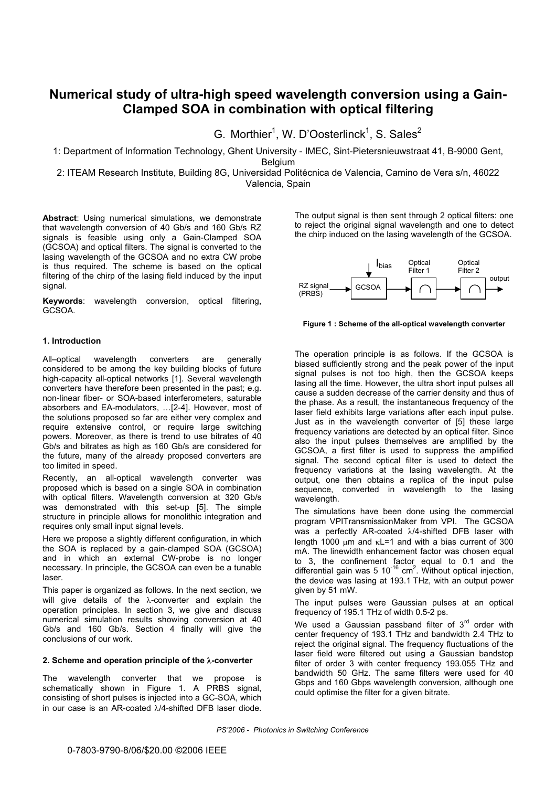# **Numerical study of ultra-high speed wavelength conversion using a Gain-Clamped SOA in combination with optical filtering**

G. Morthier<sup>1</sup>, W. D'Oosterlinck<sup>1</sup>, S. Sales<sup>2</sup>

1: Department of Information Technology, Ghent University - IMEC, Sint-Pietersnieuwstraat 41, B-9000 Gent, Belgium

2: ITEAM Research Institute, Building 8G, Universidad Politécnica de Valencia, Camino de Vera s/n, 46022 Valencia, Spain

**Abstract**: Using numerical simulations, we demonstrate that wavelength conversion of 40 Gb/s and 160 Gb/s RZ signals is feasible using only a Gain-Clamped SOA (GCSOA) and optical filters. The signal is converted to the lasing wavelength of the GCSOA and no extra CW probe is thus required. The scheme is based on the optical filtering of the chirp of the lasing field induced by the input signal.

**Keywords**: wavelength conversion, optical filtering, GCSOA.

# **1. Introduction**

All–optical wavelength converters are generally considered to be among the key building blocks of future high-capacity all-optical networks [1]. Several wavelength converters have therefore been presented in the past; e.g. non-linear fiber- or SOA-based interferometers, saturable absorbers and EA-modulators, …[2-4]. However, most of the solutions proposed so far are either very complex and require extensive control, or require large switching powers. Moreover, as there is trend to use bitrates of 40 Gb/s and bitrates as high as 160 Gb/s are considered for the future, many of the already proposed converters are too limited in speed.

Recently, an all-optical wavelength converter was proposed which is based on a single SOA in combination with optical filters. Wavelength conversion at 320 Gb/s was demonstrated with this set-up [5]. The simple structure in principle allows for monolithic integration and requires only small input signal levels.

Here we propose a slightly different configuration, in which the SOA is replaced by a gain-clamped SOA (GCSOA) and in which an external CW-probe is no longer necessary. In principle, the GCSOA can even be a tunable laser.

This paper is organized as follows. In the next section, we will give details of the  $\lambda$ -converter and explain the operation principles. In section 3, we give and discuss numerical simulation results showing conversion at 40 Gb/s and 160 Gb/s. Section 4 finally will give the conclusions of our work.

## **2. Scheme and operation principle of the**  $\lambda$ **-converter**

The wavelength converter that we propose is schematically shown in Figure 1. A PRBS signal, consisting of short pulses is injected into a GC-SOA, which in our case is an AR-coated  $\lambda$ /4-shifted DFB laser diode. The output signal is then sent through 2 optical filters: one to reject the original signal wavelength and one to detect the chirp induced on the lasing wavelength of the GCSOA.



**Figure 1 : Scheme of the all-optical wavelength converter** 

The operation principle is as follows. If the GCSOA is biased sufficiently strong and the peak power of the input signal pulses is not too high, then the GCSOA keeps lasing all the time. However, the ultra short input pulses all cause a sudden decrease of the carrier density and thus of the phase. As a result, the instantaneous frequency of the laser field exhibits large variations after each input pulse. Just as in the wavelength converter of [5] these large frequency variations are detected by an optical filter. Since also the input pulses themselves are amplified by the GCSOA, a first filter is used to suppress the amplified signal. The second optical filter is used to detect the frequency variations at the lasing wavelength. At the output, one then obtains a replica of the input pulse sequence, converted in wavelength to the lasing wavelength.

The simulations have been done using the commercial program VPITransmissionMaker from VPI. The GCSOA was a perfectly AR-coated  $\lambda$ /4-shifted DFB laser with length 1000  $\mu$ m and  $\kappa$ L=1 and with a bias current of 300 mA. The linewidth enhancement factor was chosen equal to 3, the confinement factor equal to 0.1 and the differential gain was 5 10<sup>-16</sup> cm<sup>2</sup>. Without optical injection, the device was lasing at 193.1 THz, with an output power given by 51 mW.

The input pulses were Gaussian pulses at an optical frequency of 195.1 THz of width 0.5-2 ps.

We used a Gaussian passband filter of  $3<sup>rd</sup>$  order with center frequency of 193.1 THz and bandwidth 2.4 THz to reject the original signal. The frequency fluctuations of the laser field were filtered out using a Gaussian bandstop filter of order 3 with center frequency 193.055 THz and bandwidth 50 GHz. The same filters were used for 40 Gbps and 160 Gbps wavelength conversion, although one could optimise the filter for a given bitrate.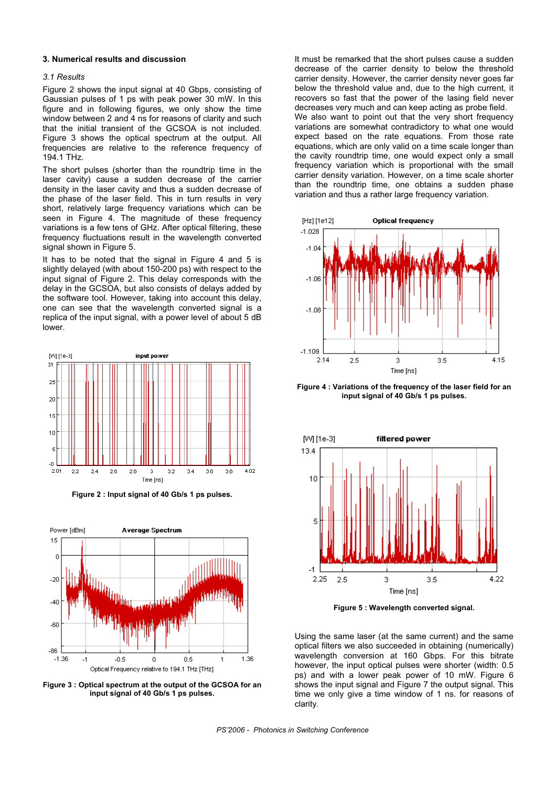#### **3. Numerical results and discussion**

# *3.1 Results*

Figure 2 shows the input signal at 40 Gbps, consisting of Gaussian pulses of 1 ps with peak power 30 mW. In this figure and in following figures, we only show the time window between 2 and 4 ns for reasons of clarity and such that the initial transient of the GCSOA is not included. Figure 3 shows the optical spectrum at the output. All frequencies are relative to the reference frequency of 194.1 THz.

The short pulses (shorter than the roundtrip time in the laser cavity) cause a sudden decrease of the carrier density in the laser cavity and thus a sudden decrease of the phase of the laser field. This in turn results in very short, relatively large frequency variations which can be seen in Figure 4. The magnitude of these frequency variations is a few tens of GHz. After optical filtering, these frequency fluctuations result in the wavelength converted signal shown in Figure 5.

It has to be noted that the signal in Figure 4 and 5 is slightly delayed (with about 150-200 ps) with respect to the input signal of Figure 2. This delay corresponds with the delay in the GCSOA, but also consists of delays added by the software tool. However, taking into account this delay, one can see that the wavelength converted signal is a replica of the input signal, with a power level of about 5 dB lower.



**Figure 2 : Input signal of 40 Gb/s 1 ps pulses.** 



**Figure 3 : Optical spectrum at the output of the GCSOA for an input signal of 40 Gb/s 1 ps pulses.** 

It must be remarked that the short pulses cause a sudden decrease of the carrier density to below the threshold carrier density. However, the carrier density never goes far below the threshold value and, due to the high current, it recovers so fast that the power of the lasing field never decreases very much and can keep acting as probe field. We also want to point out that the very short frequency variations are somewhat contradictory to what one would expect based on the rate equations. From those rate equations, which are only valid on a time scale longer than the cavity roundtrip time, one would expect only a small frequency variation which is proportional with the small carrier density variation. However, on a time scale shorter than the roundtrip time, one obtains a sudden phase variation and thus a rather large frequency variation.



**Figure 4 : Variations of the frequency of the laser field for an input signal of 40 Gb/s 1 ps pulses.** 



**Figure 5 : Wavelength converted signal.** 

Using the same laser (at the same current) and the same optical filters we also succeeded in obtaining (numerically) wavelength conversion at 160 Gbps. For this bitrate however, the input optical pulses were shorter (width: 0.5 ps) and with a lower peak power of 10 mW. Figure 6 shows the input signal and Figure 7 the output signal. This time we only give a time window of 1 ns. for reasons of clarity.